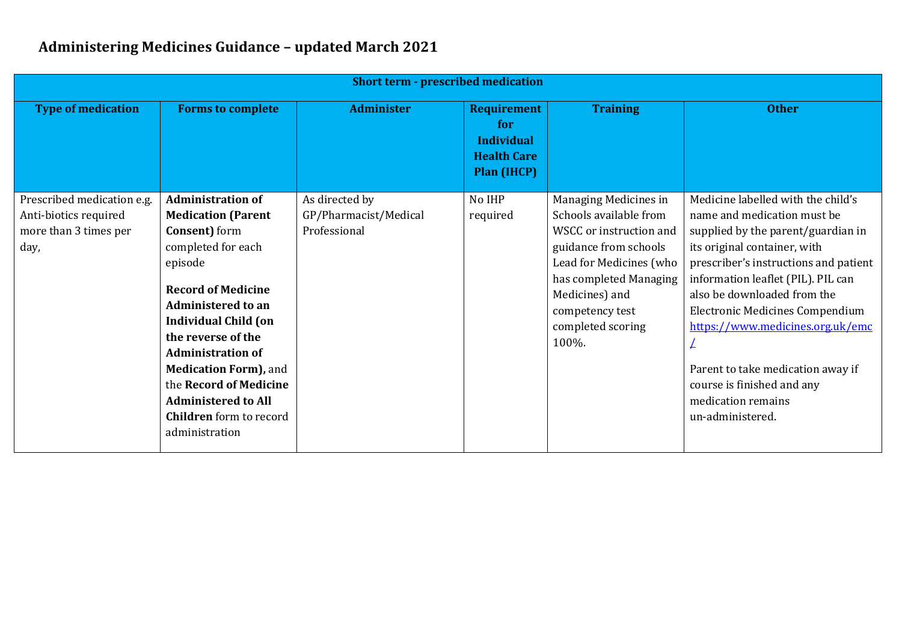| <b>Short term - prescribed medication</b>                                            |                                                                                                                                                                                                                                                                                                                                                                                                         |                                                         |                                                                                            |                                                                                                                                                                                                                             |                                                                                                                                                                                                                                                                                                                                                                                                                                                  |  |
|--------------------------------------------------------------------------------------|---------------------------------------------------------------------------------------------------------------------------------------------------------------------------------------------------------------------------------------------------------------------------------------------------------------------------------------------------------------------------------------------------------|---------------------------------------------------------|--------------------------------------------------------------------------------------------|-----------------------------------------------------------------------------------------------------------------------------------------------------------------------------------------------------------------------------|--------------------------------------------------------------------------------------------------------------------------------------------------------------------------------------------------------------------------------------------------------------------------------------------------------------------------------------------------------------------------------------------------------------------------------------------------|--|
| <b>Type of medication</b>                                                            | <b>Forms to complete</b>                                                                                                                                                                                                                                                                                                                                                                                | <b>Administer</b>                                       | <b>Requirement</b><br>for<br><b>Individual</b><br><b>Health Care</b><br><b>Plan (IHCP)</b> | <b>Training</b>                                                                                                                                                                                                             | <b>Other</b>                                                                                                                                                                                                                                                                                                                                                                                                                                     |  |
| Prescribed medication e.g.<br>Anti-biotics required<br>more than 3 times per<br>day, | <b>Administration of</b><br><b>Medication (Parent</b><br><b>Consent</b> ) form<br>completed for each<br>episode<br><b>Record of Medicine</b><br><b>Administered to an</b><br><b>Individual Child (on</b><br>the reverse of the<br><b>Administration of</b><br><b>Medication Form)</b> , and<br>the Record of Medicine<br><b>Administered to All</b><br><b>Children</b> form to record<br>administration | As directed by<br>GP/Pharmacist/Medical<br>Professional | No IHP<br>required                                                                         | Managing Medicines in<br>Schools available from<br>WSCC or instruction and<br>guidance from schools<br>Lead for Medicines (who<br>has completed Managing<br>Medicines) and<br>competency test<br>completed scoring<br>100%. | Medicine labelled with the child's<br>name and medication must be<br>supplied by the parent/guardian in<br>its original container, with<br>prescriber's instructions and patient<br>information leaflet (PIL). PIL can<br>also be downloaded from the<br><b>Electronic Medicines Compendium</b><br>https://www.medicines.org.uk/emc<br>Parent to take medication away if<br>course is finished and any<br>medication remains<br>un-administered. |  |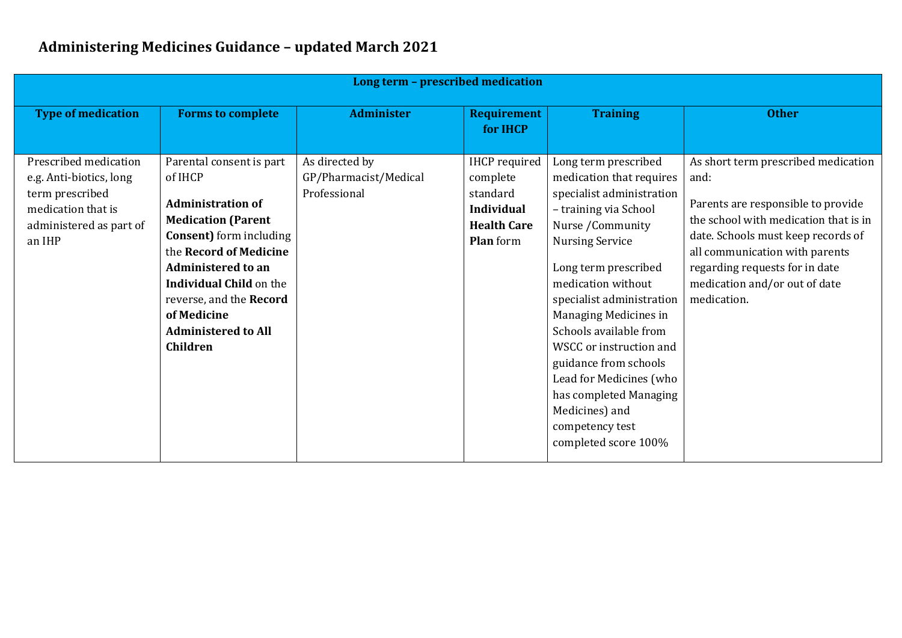| Long term - prescribed medication                                                                                              |                                                                                                                                                                                                                                                                                                                     |                                                         |                                                                                                             |                                                                                                                                                                                                                                                                                                                                                                                                                                                           |                                                                                                                                                                                                                                                                                      |  |  |
|--------------------------------------------------------------------------------------------------------------------------------|---------------------------------------------------------------------------------------------------------------------------------------------------------------------------------------------------------------------------------------------------------------------------------------------------------------------|---------------------------------------------------------|-------------------------------------------------------------------------------------------------------------|-----------------------------------------------------------------------------------------------------------------------------------------------------------------------------------------------------------------------------------------------------------------------------------------------------------------------------------------------------------------------------------------------------------------------------------------------------------|--------------------------------------------------------------------------------------------------------------------------------------------------------------------------------------------------------------------------------------------------------------------------------------|--|--|
| <b>Type of medication</b>                                                                                                      | <b>Forms to complete</b>                                                                                                                                                                                                                                                                                            | <b>Administer</b>                                       | <b>Requirement</b><br>for <b>IHCP</b>                                                                       | <b>Training</b>                                                                                                                                                                                                                                                                                                                                                                                                                                           | <b>Other</b>                                                                                                                                                                                                                                                                         |  |  |
| Prescribed medication<br>e.g. Anti-biotics, long<br>term prescribed<br>medication that is<br>administered as part of<br>an IHP | Parental consent is part<br>of IHCP<br><b>Administration of</b><br><b>Medication (Parent</b><br><b>Consent</b> ) form including<br>the Record of Medicine<br><b>Administered to an</b><br><b>Individual Child on the</b><br>reverse, and the Record<br>of Medicine<br><b>Administered to All</b><br><b>Children</b> | As directed by<br>GP/Pharmacist/Medical<br>Professional | <b>IHCP</b> required<br>complete<br>standard<br><b>Individual</b><br><b>Health Care</b><br><b>Plan</b> form | Long term prescribed<br>medication that requires<br>specialist administration<br>- training via School<br>Nurse / Community<br><b>Nursing Service</b><br>Long term prescribed<br>medication without<br>specialist administration<br>Managing Medicines in<br>Schools available from<br>WSCC or instruction and<br>guidance from schools<br>Lead for Medicines (who<br>has completed Managing<br>Medicines) and<br>competency test<br>completed score 100% | As short term prescribed medication<br>and:<br>Parents are responsible to provide<br>the school with medication that is in<br>date. Schools must keep records of<br>all communication with parents<br>regarding requests for in date<br>medication and/or out of date<br>medication. |  |  |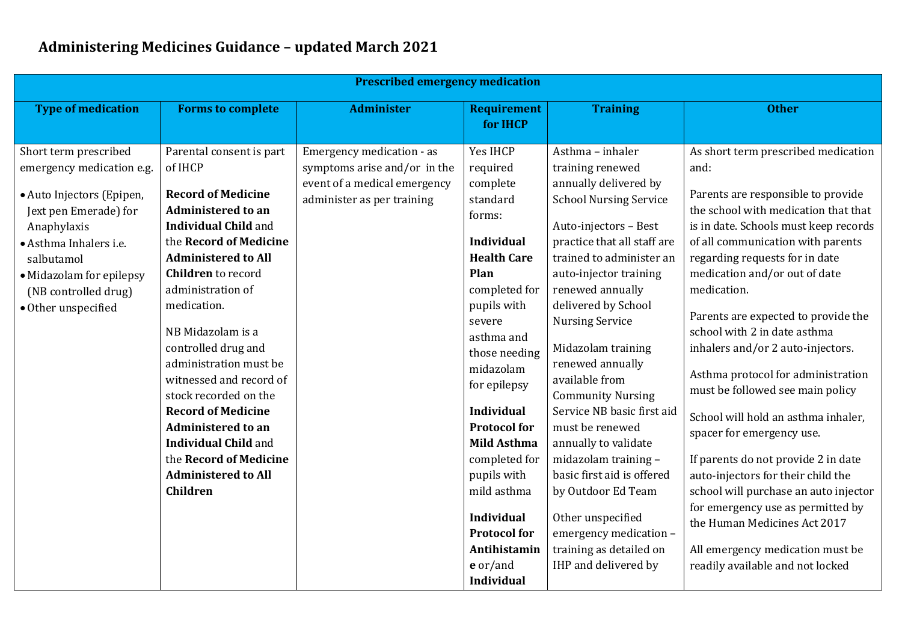| <b>Prescribed emergency medication</b>                                                                                                                                                                                                     |                                                                                                                                                                                                                                                                                                                                                                                                                                                                                                                                                     |                                                                                                                         |                                                                                                                                                                                                                                                                                                                                                                                                                                 |                                                                                                                                                                                                                                                                                                                                                                                                                                                                                                                                                                                                                                  |                                                                                                                                                                                                                                                                                                                                                                                                                                                                                                                                                                                                                                                                                                                                                                                                                        |  |  |
|--------------------------------------------------------------------------------------------------------------------------------------------------------------------------------------------------------------------------------------------|-----------------------------------------------------------------------------------------------------------------------------------------------------------------------------------------------------------------------------------------------------------------------------------------------------------------------------------------------------------------------------------------------------------------------------------------------------------------------------------------------------------------------------------------------------|-------------------------------------------------------------------------------------------------------------------------|---------------------------------------------------------------------------------------------------------------------------------------------------------------------------------------------------------------------------------------------------------------------------------------------------------------------------------------------------------------------------------------------------------------------------------|----------------------------------------------------------------------------------------------------------------------------------------------------------------------------------------------------------------------------------------------------------------------------------------------------------------------------------------------------------------------------------------------------------------------------------------------------------------------------------------------------------------------------------------------------------------------------------------------------------------------------------|------------------------------------------------------------------------------------------------------------------------------------------------------------------------------------------------------------------------------------------------------------------------------------------------------------------------------------------------------------------------------------------------------------------------------------------------------------------------------------------------------------------------------------------------------------------------------------------------------------------------------------------------------------------------------------------------------------------------------------------------------------------------------------------------------------------------|--|--|
| <b>Type of medication</b>                                                                                                                                                                                                                  | <b>Forms to complete</b>                                                                                                                                                                                                                                                                                                                                                                                                                                                                                                                            | <b>Administer</b>                                                                                                       | <b>Requirement</b><br>for IHCP                                                                                                                                                                                                                                                                                                                                                                                                  | <b>Training</b>                                                                                                                                                                                                                                                                                                                                                                                                                                                                                                                                                                                                                  | <b>Other</b>                                                                                                                                                                                                                                                                                                                                                                                                                                                                                                                                                                                                                                                                                                                                                                                                           |  |  |
| Short term prescribed<br>emergency medication e.g.<br>· Auto Injectors (Epipen,<br>Jext pen Emerade) for<br>Anaphylaxis<br>· Asthma Inhalers i.e.<br>salbutamol<br>• Midazolam for epilepsy<br>(NB controlled drug)<br>· Other unspecified | Parental consent is part<br>of IHCP<br><b>Record of Medicine</b><br><b>Administered to an</b><br><b>Individual Child and</b><br>the Record of Medicine<br><b>Administered to All</b><br><b>Children</b> to record<br>administration of<br>medication.<br>NB Midazolam is a<br>controlled drug and<br>administration must be<br>witnessed and record of<br>stock recorded on the<br><b>Record of Medicine</b><br><b>Administered to an</b><br><b>Individual Child and</b><br>the Record of Medicine<br><b>Administered to All</b><br><b>Children</b> | Emergency medication - as<br>symptoms arise and/or in the<br>event of a medical emergency<br>administer as per training | Yes IHCP<br>required<br>complete<br>standard<br>forms:<br><b>Individual</b><br><b>Health Care</b><br>Plan<br>completed for<br>pupils with<br>severe<br>asthma and<br>those needing<br>midazolam<br>for epilepsy<br><b>Individual</b><br><b>Protocol for</b><br><b>Mild Asthma</b><br>completed for<br>pupils with<br>mild asthma<br><b>Individual</b><br><b>Protocol for</b><br>Antihistamin<br>$e$ or/and<br><b>Individual</b> | Asthma - inhaler<br>training renewed<br>annually delivered by<br><b>School Nursing Service</b><br>Auto-injectors - Best<br>practice that all staff are<br>trained to administer an<br>auto-injector training<br>renewed annually<br>delivered by School<br><b>Nursing Service</b><br>Midazolam training<br>renewed annually<br>available from<br><b>Community Nursing</b><br>Service NB basic first aid<br>must be renewed<br>annually to validate<br>midazolam training -<br>basic first aid is offered<br>by Outdoor Ed Team<br>Other unspecified<br>emergency medication -<br>training as detailed on<br>IHP and delivered by | As short term prescribed medication<br>and:<br>Parents are responsible to provide<br>the school with medication that that<br>is in date. Schools must keep records<br>of all communication with parents<br>regarding requests for in date<br>medication and/or out of date<br>medication.<br>Parents are expected to provide the<br>school with 2 in date asthma<br>inhalers and/or 2 auto-injectors.<br>Asthma protocol for administration<br>must be followed see main policy<br>School will hold an asthma inhaler,<br>spacer for emergency use.<br>If parents do not provide 2 in date<br>auto-injectors for their child the<br>school will purchase an auto injector<br>for emergency use as permitted by<br>the Human Medicines Act 2017<br>All emergency medication must be<br>readily available and not locked |  |  |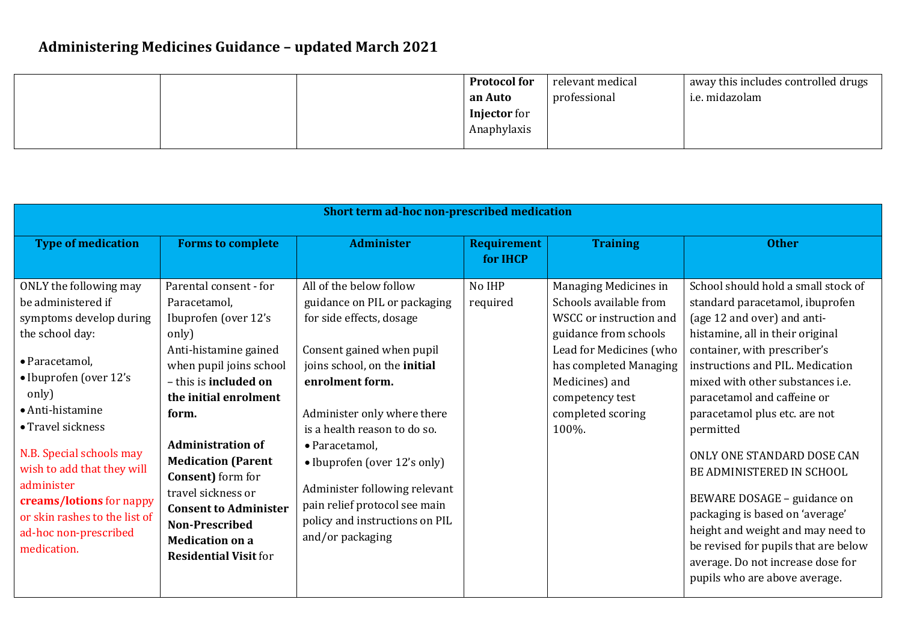|  | <b>Protocol for</b> | relevant medical | away this includes controlled drugs |
|--|---------------------|------------------|-------------------------------------|
|  | an Auto             | professional     | i.e. midazolam                      |
|  | <b>Injector</b> for |                  |                                     |
|  | Anaphylaxis         |                  |                                     |
|  |                     |                  |                                     |

| Short term ad-hoc non-prescribed medication                                                                                                                                                                                                                                                                                                                           |                                                                                                                                                                                                                                                                                                                                                                                                                       |                                                                                                                                                                                                                                                                                                                                                                                                              |                                       |                                                                                                                                                                                                                             |                                                                                                                                                                                                                                                                                                                                                                                                                                                                                                                                                                                                                |  |
|-----------------------------------------------------------------------------------------------------------------------------------------------------------------------------------------------------------------------------------------------------------------------------------------------------------------------------------------------------------------------|-----------------------------------------------------------------------------------------------------------------------------------------------------------------------------------------------------------------------------------------------------------------------------------------------------------------------------------------------------------------------------------------------------------------------|--------------------------------------------------------------------------------------------------------------------------------------------------------------------------------------------------------------------------------------------------------------------------------------------------------------------------------------------------------------------------------------------------------------|---------------------------------------|-----------------------------------------------------------------------------------------------------------------------------------------------------------------------------------------------------------------------------|----------------------------------------------------------------------------------------------------------------------------------------------------------------------------------------------------------------------------------------------------------------------------------------------------------------------------------------------------------------------------------------------------------------------------------------------------------------------------------------------------------------------------------------------------------------------------------------------------------------|--|
| <b>Type of medication</b>                                                                                                                                                                                                                                                                                                                                             | <b>Forms to complete</b>                                                                                                                                                                                                                                                                                                                                                                                              | <b>Administer</b>                                                                                                                                                                                                                                                                                                                                                                                            | <b>Requirement</b><br>for <b>IHCP</b> | <b>Training</b>                                                                                                                                                                                                             | <b>Other</b>                                                                                                                                                                                                                                                                                                                                                                                                                                                                                                                                                                                                   |  |
| ONLY the following may<br>be administered if<br>symptoms develop during<br>the school day:<br>· Paracetamol,<br>• Ibuprofen (over 12's<br>only)<br>• Anti-histamine<br>• Travel sickness<br>N.B. Special schools may<br>wish to add that they will<br>administer<br>creams/lotions for nappy<br>or skin rashes to the list of<br>ad-hoc non-prescribed<br>medication. | Parental consent - for<br>Paracetamol,<br>Ibuprofen (over 12's<br>only)<br>Anti-histamine gained<br>when pupil joins school<br>- this is <b>included</b> on<br>the initial enrolment<br>form.<br><b>Administration of</b><br><b>Medication (Parent</b><br><b>Consent</b> ) form for<br>travel sickness or<br><b>Consent to Administer</b><br>Non-Prescribed<br><b>Medication on a</b><br><b>Residential Visit for</b> | All of the below follow<br>guidance on PIL or packaging<br>for side effects, dosage<br>Consent gained when pupil<br>joins school, on the initial<br>enrolment form.<br>Administer only where there<br>is a health reason to do so.<br>• Paracetamol,<br>• Ibuprofen (over 12's only)<br>Administer following relevant<br>pain relief protocol see main<br>policy and instructions on PIL<br>and/or packaging | No IHP<br>required                    | Managing Medicines in<br>Schools available from<br>WSCC or instruction and<br>guidance from schools<br>Lead for Medicines (who<br>has completed Managing<br>Medicines) and<br>competency test<br>completed scoring<br>100%. | School should hold a small stock of<br>standard paracetamol, ibuprofen<br>(age 12 and over) and anti-<br>histamine, all in their original<br>container, with prescriber's<br>instructions and PIL. Medication<br>mixed with other substances i.e.<br>paracetamol and caffeine or<br>paracetamol plus etc. are not<br>permitted<br>ONLY ONE STANDARD DOSE CAN<br>BE ADMINISTERED IN SCHOOL<br>BEWARE DOSAGE - guidance on<br>packaging is based on 'average'<br>height and weight and may need to<br>be revised for pupils that are below<br>average. Do not increase dose for<br>pupils who are above average. |  |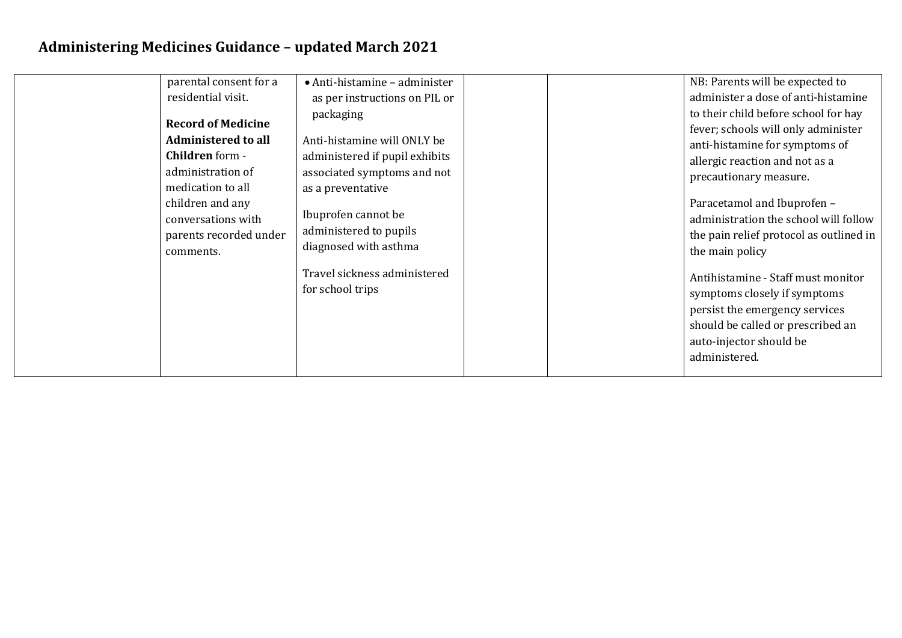| parental consent for a<br>residential visit.<br><b>Record of Medicine</b><br><b>Administered to all</b><br><b>Children</b> form -<br>administration of<br>medication to all<br>children and any<br>conversations with<br>parents recorded under | · Anti-histamine - administer<br>as per instructions on PIL or<br>packaging<br>Anti-histamine will ONLY be<br>administered if pupil exhibits<br>associated symptoms and not<br>as a preventative<br>Ibuprofen cannot be<br>administered to pupils |  | NB: Parents will be expected to<br>administer a dose of anti-histamine<br>to their child before school for hay<br>fever; schools will only administer<br>anti-histamine for symptoms of<br>allergic reaction and not as a<br>precautionary measure.<br>Paracetamol and Ibuprofen -<br>administration the school will follow<br>the pain relief protocol as outlined in |
|-------------------------------------------------------------------------------------------------------------------------------------------------------------------------------------------------------------------------------------------------|---------------------------------------------------------------------------------------------------------------------------------------------------------------------------------------------------------------------------------------------------|--|------------------------------------------------------------------------------------------------------------------------------------------------------------------------------------------------------------------------------------------------------------------------------------------------------------------------------------------------------------------------|
| comments.                                                                                                                                                                                                                                       | diagnosed with asthma<br>Travel sickness administered<br>for school trips                                                                                                                                                                         |  | the main policy<br>Antihistamine - Staff must monitor<br>symptoms closely if symptoms<br>persist the emergency services<br>should be called or prescribed an                                                                                                                                                                                                           |
|                                                                                                                                                                                                                                                 |                                                                                                                                                                                                                                                   |  | auto-injector should be<br>administered.                                                                                                                                                                                                                                                                                                                               |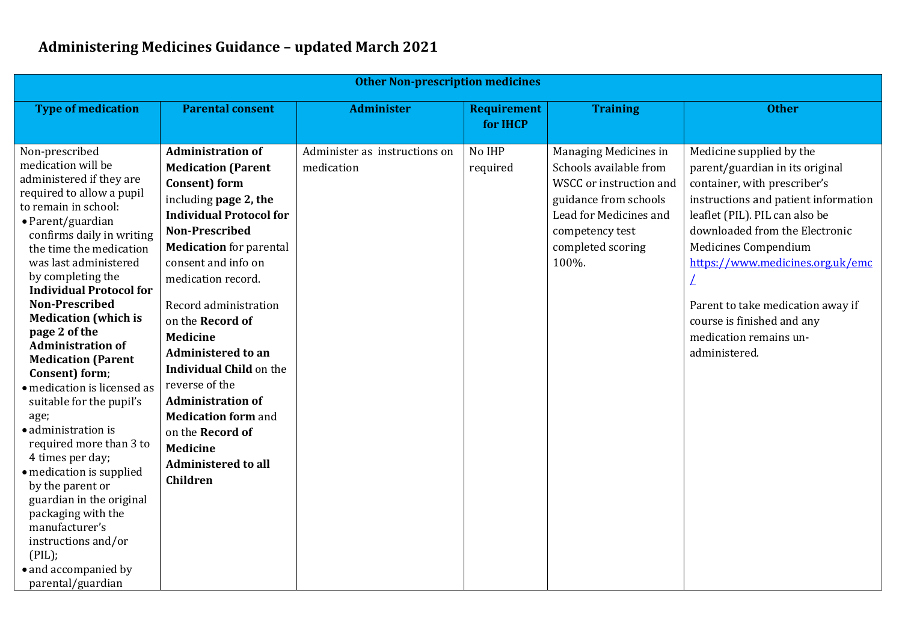| <b>Other Non-prescription medicines</b>                                                                                                                                                                                                                                                                                                                                                                                                                                                                                                                                                                                                                                                                                                                                           |                                                                                                                                                                                                                                                                                                                                                                                                                                                                                                                                                     |                                             |                                |                                                                                                                                                                                |                                                                                                                                                                                                                                                                                                                                                                                   |  |
|-----------------------------------------------------------------------------------------------------------------------------------------------------------------------------------------------------------------------------------------------------------------------------------------------------------------------------------------------------------------------------------------------------------------------------------------------------------------------------------------------------------------------------------------------------------------------------------------------------------------------------------------------------------------------------------------------------------------------------------------------------------------------------------|-----------------------------------------------------------------------------------------------------------------------------------------------------------------------------------------------------------------------------------------------------------------------------------------------------------------------------------------------------------------------------------------------------------------------------------------------------------------------------------------------------------------------------------------------------|---------------------------------------------|--------------------------------|--------------------------------------------------------------------------------------------------------------------------------------------------------------------------------|-----------------------------------------------------------------------------------------------------------------------------------------------------------------------------------------------------------------------------------------------------------------------------------------------------------------------------------------------------------------------------------|--|
| <b>Type of medication</b>                                                                                                                                                                                                                                                                                                                                                                                                                                                                                                                                                                                                                                                                                                                                                         | <b>Parental consent</b>                                                                                                                                                                                                                                                                                                                                                                                                                                                                                                                             | <b>Administer</b>                           | <b>Requirement</b><br>for IHCP | <b>Training</b>                                                                                                                                                                | <b>Other</b>                                                                                                                                                                                                                                                                                                                                                                      |  |
| Non-prescribed<br>medication will be<br>administered if they are<br>required to allow a pupil<br>to remain in school:<br>• Parent/guardian<br>confirms daily in writing<br>the time the medication<br>was last administered<br>by completing the<br><b>Individual Protocol for</b><br><b>Non-Prescribed</b><br><b>Medication</b> (which is<br>page 2 of the<br><b>Administration of</b><br><b>Medication (Parent</b><br>Consent) form;<br>· medication is licensed as<br>suitable for the pupil's<br>age;<br>• administration is<br>required more than 3 to<br>4 times per day;<br>· medication is supplied<br>by the parent or<br>guardian in the original<br>packaging with the<br>manufacturer's<br>instructions and/or<br>(PIL);<br>• and accompanied by<br>parental/guardian | <b>Administration of</b><br><b>Medication (Parent</b><br>Consent) form<br>including page 2, the<br><b>Individual Protocol for</b><br><b>Non-Prescribed</b><br><b>Medication</b> for parental<br>consent and info on<br>medication record.<br>Record administration<br>on the <b>Record of</b><br><b>Medicine</b><br><b>Administered to an</b><br><b>Individual Child on the</b><br>reverse of the<br><b>Administration of</b><br><b>Medication form and</b><br>on the Record of<br><b>Medicine</b><br><b>Administered to all</b><br><b>Children</b> | Administer as instructions on<br>medication | No IHP<br>required             | Managing Medicines in<br>Schools available from<br>WSCC or instruction and<br>guidance from schools<br>Lead for Medicines and<br>competency test<br>completed scoring<br>100%. | Medicine supplied by the<br>parent/guardian in its original<br>container, with prescriber's<br>instructions and patient information<br>leaflet (PIL). PIL can also be<br>downloaded from the Electronic<br>Medicines Compendium<br>https://www.medicines.org.uk/emc<br>Parent to take medication away if<br>course is finished and any<br>medication remains un-<br>administered. |  |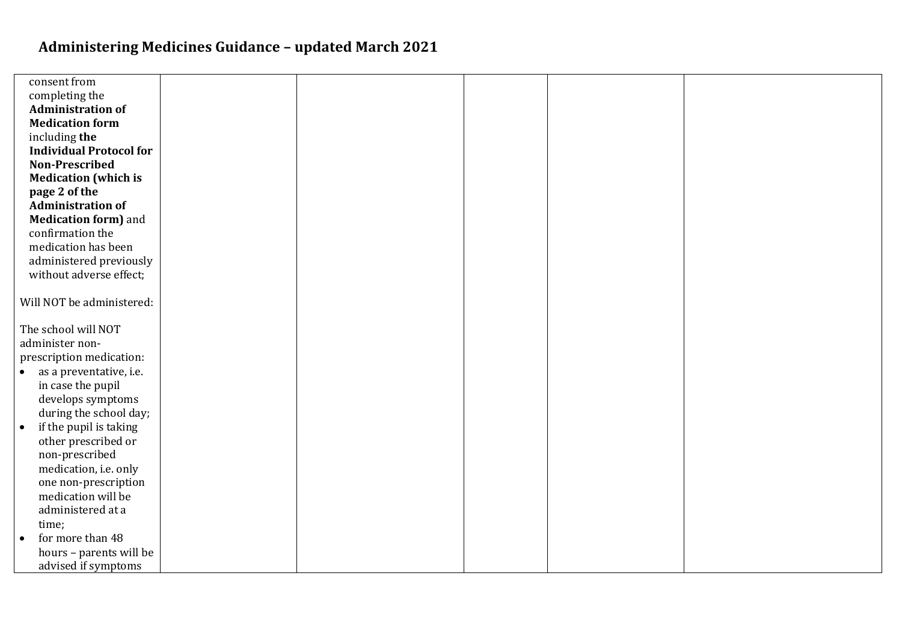| consent from                        |  |  |  |
|-------------------------------------|--|--|--|
| completing the                      |  |  |  |
| <b>Administration of</b>            |  |  |  |
| <b>Medication form</b>              |  |  |  |
| including the                       |  |  |  |
| <b>Individual Protocol for</b>      |  |  |  |
| Non-Prescribed                      |  |  |  |
| <b>Medication (which is</b>         |  |  |  |
| page 2 of the                       |  |  |  |
| <b>Administration of</b>            |  |  |  |
| <b>Medication form)</b> and         |  |  |  |
| confirmation the                    |  |  |  |
| medication has been                 |  |  |  |
| administered previously             |  |  |  |
| without adverse effect;             |  |  |  |
|                                     |  |  |  |
| Will NOT be administered:           |  |  |  |
| The school will NOT                 |  |  |  |
| administer non-                     |  |  |  |
| prescription medication:            |  |  |  |
| • as a preventative, i.e.           |  |  |  |
| in case the pupil                   |  |  |  |
| develops symptoms                   |  |  |  |
| during the school day;              |  |  |  |
| if the pupil is taking<br>$\bullet$ |  |  |  |
| other prescribed or                 |  |  |  |
| non-prescribed                      |  |  |  |
| medication, i.e. only               |  |  |  |
| one non-prescription                |  |  |  |
| medication will be                  |  |  |  |
| administered at a                   |  |  |  |
| time;                               |  |  |  |
| for more than 48<br>$\bullet$       |  |  |  |
| hours - parents will be             |  |  |  |
| advised if symptoms                 |  |  |  |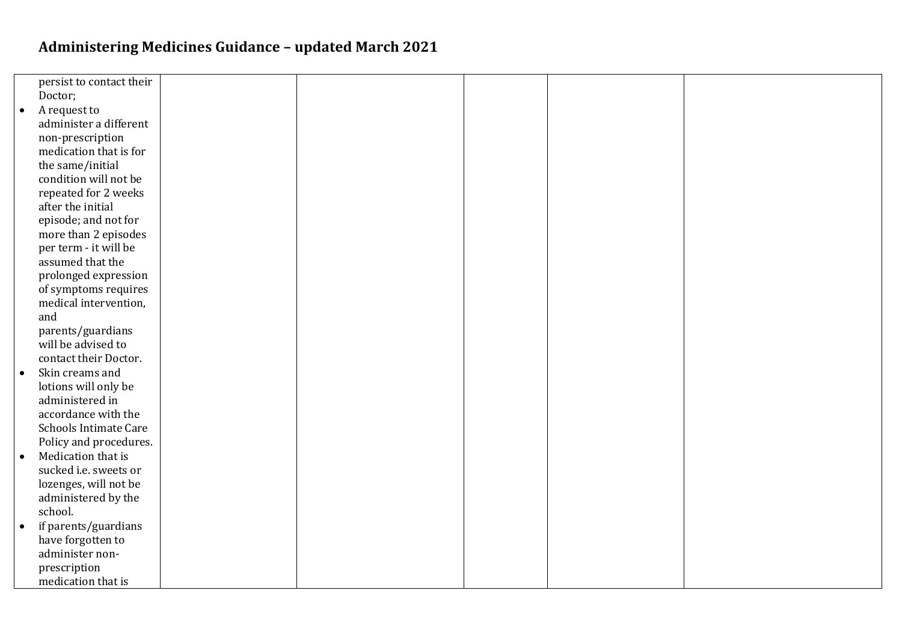|           | persist to contact their     |  |  |  |
|-----------|------------------------------|--|--|--|
|           | Doctor;                      |  |  |  |
| $\bullet$ | A request to                 |  |  |  |
|           | administer a different       |  |  |  |
|           | non-prescription             |  |  |  |
|           | medication that is for       |  |  |  |
|           | the same/initial             |  |  |  |
|           | condition will not be        |  |  |  |
|           | repeated for 2 weeks         |  |  |  |
|           | after the initial            |  |  |  |
|           | episode; and not for         |  |  |  |
|           | more than 2 episodes         |  |  |  |
|           | per term - it will be        |  |  |  |
|           | assumed that the             |  |  |  |
|           | prolonged expression         |  |  |  |
|           | of symptoms requires         |  |  |  |
|           | medical intervention,        |  |  |  |
|           | and                          |  |  |  |
|           | parents/guardians            |  |  |  |
|           | will be advised to           |  |  |  |
|           | contact their Doctor.        |  |  |  |
| $\bullet$ | Skin creams and              |  |  |  |
|           | lotions will only be         |  |  |  |
|           | administered in              |  |  |  |
|           | accordance with the          |  |  |  |
|           | <b>Schools Intimate Care</b> |  |  |  |
|           | Policy and procedures.       |  |  |  |
| $\bullet$ | Medication that is           |  |  |  |
|           | sucked i.e. sweets or        |  |  |  |
|           | lozenges, will not be        |  |  |  |
|           | administered by the          |  |  |  |
|           | school.                      |  |  |  |
| $\bullet$ | if parents/guardians         |  |  |  |
|           | have forgotten to            |  |  |  |
|           | administer non-              |  |  |  |
|           | prescription                 |  |  |  |
|           | medication that is           |  |  |  |